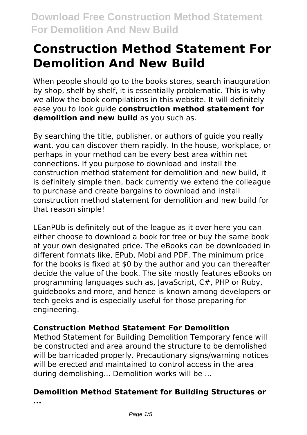# **Construction Method Statement For Demolition And New Build**

When people should go to the books stores, search inauguration by shop, shelf by shelf, it is essentially problematic. This is why we allow the book compilations in this website. It will definitely ease you to look guide **construction method statement for demolition and new build** as you such as.

By searching the title, publisher, or authors of guide you really want, you can discover them rapidly. In the house, workplace, or perhaps in your method can be every best area within net connections. If you purpose to download and install the construction method statement for demolition and new build, it is definitely simple then, back currently we extend the colleague to purchase and create bargains to download and install construction method statement for demolition and new build for that reason simple!

LEanPUb is definitely out of the league as it over here you can either choose to download a book for free or buy the same book at your own designated price. The eBooks can be downloaded in different formats like, EPub, Mobi and PDF. The minimum price for the books is fixed at \$0 by the author and you can thereafter decide the value of the book. The site mostly features eBooks on programming languages such as, JavaScript, C#, PHP or Ruby, guidebooks and more, and hence is known among developers or tech geeks and is especially useful for those preparing for engineering.

# **Construction Method Statement For Demolition**

Method Statement for Building Demolition Temporary fence will be constructed and area around the structure to be demolished will be barricaded properly. Precautionary signs/warning notices will be erected and maintained to control access in the area during demolishing... Demolition works will be ...

# **Demolition Method Statement for Building Structures or**

**...**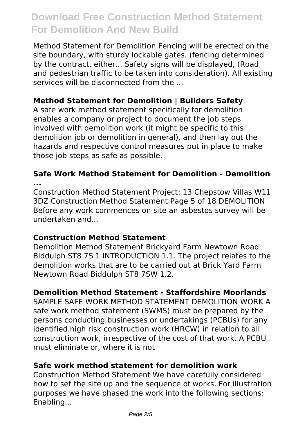Method Statement for Demolition Fencing will be erected on the site boundary, with sturdy lockable gates. (fencing determined by the contract, either... Safety signs will be displayed, (Road and pedestrian traffic to be taken into consideration). All existing services will be disconnected from the ...

## **Method Statement for Demolition | Builders Safety**

A safe work method statement specifically for demolition enables a company or project to document the job steps involved with demolition work (it might be specific to this demolition job or demolition in general), and then lay out the hazards and respective control measures put in place to make those job steps as safe as possible.

#### **Safe Work Method Statement for Demolition - Demolition ...**

Construction Method Statement Project: 13 Chepstow Villas W11 3DZ Construction Method Statement Page 5 of 18 DEMOLITION Before any work commences on site an asbestos survey will be undertaken and...

#### **Construction Method Statement**

Demolition Method Statement Brickyard Farm Newtown Road Biddulph ST8 7S 1 INTRODUCTION 1.1. The project relates to the demolition works that are to be carried out at Brick Yard Farm Newtown Road Biddulph ST8 7SW 1.2.

#### **Demolition Method Statement - Staffordshire Moorlands**

SAMPLE SAFE WORK METHOD STATEMENT DEMOLITION WORK A safe work method statement (SWMS) must be prepared by the persons conducting businesses or undertakings (PCBUs) for any identified high risk construction work (HRCW) in relation to all construction work, irrespective of the cost of that work. A PCBU must eliminate or, where it is not

#### **Safe work method statement for demolition work**

Construction Method Statement We have carefully considered how to set the site up and the sequence of works. For illustration purposes we have phased the work into the following sections: Enabling...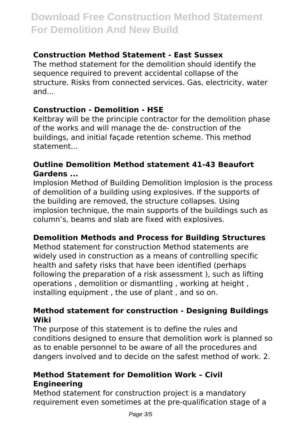## **Construction Method Statement - East Sussex**

The method statement for the demolition should identify the sequence required to prevent accidental collapse of the structure. Risks from connected services. Gas, electricity, water and...

## **Construction - Demolition - HSE**

Keltbray will be the principle contractor for the demolition phase of the works and will manage the de- construction of the buildings, and initial façade retention scheme. This method statement...

#### **Outline Demolition Method statement 41-43 Beaufort Gardens ...**

Implosion Method of Building Demolition Implosion is the process of demolition of a building using explosives. If the supports of the building are removed, the structure collapses. Using implosion technique, the main supports of the buildings such as column's, beams and slab are fixed with explosives.

## **Demolition Methods and Process for Building Structures**

Method statement for construction Method statements are widely used in construction as a means of controlling specific health and safety risks that have been identified (perhaps following the preparation of a risk assessment ), such as lifting operations , demolition or dismantling , working at height , installing equipment , the use of plant , and so on.

#### **Method statement for construction - Designing Buildings Wiki**

The purpose of this statement is to define the rules and conditions designed to ensure that demolition work is planned so as to enable personnel to be aware of all the procedures and dangers involved and to decide on the safest method of work. 2.

#### **Method Statement for Demolition Work – Civil Engineering**

Method statement for construction project is a mandatory requirement even sometimes at the pre-qualification stage of a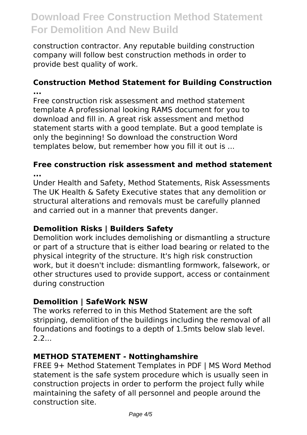construction contractor. Any reputable building construction company will follow best construction methods in order to provide best quality of work.

#### **Construction Method Statement for Building Construction ...**

Free construction risk assessment and method statement template A professional looking RAMS document for you to download and fill in. A great risk assessment and method statement starts with a good template. But a good template is only the beginning! So download the construction Word templates below, but remember how you fill it out is ...

#### **Free construction risk assessment and method statement ...**

Under Health and Safety, Method Statements, Risk Assessments The UK Health & Safety Executive states that any demolition or structural alterations and removals must be carefully planned and carried out in a manner that prevents danger.

## **Demolition Risks | Builders Safety**

Demolition work includes demolishing or dismantling a structure or part of a structure that is either load bearing or related to the physical integrity of the structure. It's high risk construction work, but it doesn't include: dismantling formwork, falsework, or other structures used to provide support, access or containment during construction

## **Demolition | SafeWork NSW**

The works referred to in this Method Statement are the soft stripping, demolition of the buildings including the removal of all foundations and footings to a depth of 1.5mts below slab level.  $2.2...$ 

# **METHOD STATEMENT - Nottinghamshire**

FREE 9+ Method Statement Templates in PDF | MS Word Method statement is the safe system procedure which is usually seen in construction projects in order to perform the project fully while maintaining the safety of all personnel and people around the construction site.